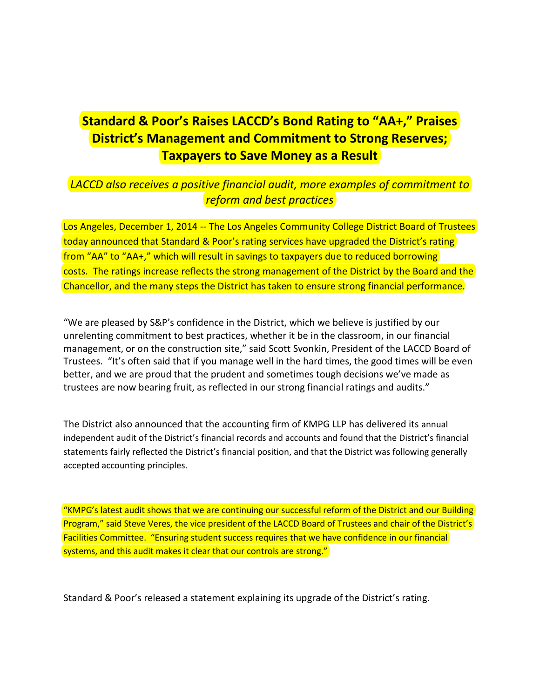## **Standard & Poor's Raises LACCD's Bond Rating to "AA+," Praises District's Management and Commitment to Strong Reserves; Taxpayers to Save Money as a Result**

## *LACCD also receives a positive financial audit, more examples of commitment to reform and best practices*

Los Angeles, December 1, 2014 -- The Los Angeles Community College District Board of Trustees today announced that Standard & Poor's rating services have upgraded the District's rating from "AA" to "AA+," which will result in savings to taxpayers due to reduced borrowing costs. The ratings increase reflects the strong management of the District by the Board and the Chancellor, and the many steps the District has taken to ensure strong financial performance.

"We are pleased by S&P's confidence in the District, which we believe is justified by our unrelenting commitment to best practices, whether it be in the classroom, in our financial management, or on the construction site," said Scott Svonkin, President of the LACCD Board of Trustees. "It's often said that if you manage well in the hard times, the good times will be even better, and we are proud that the prudent and sometimes tough decisions we've made as trustees are now bearing fruit, as reflected in our strong financial ratings and audits."

The District also announced that the accounting firm of KMPG LLP has delivered its annual independent audit of the District's financial records and accounts and found that the District's financial statements fairly reflected the District's financial position, and that the District was following generally accepted accounting principles.

"KMPG's latest audit shows that we are continuing our successful reform of the District and our Building Program," said Steve Veres, the vice president of the LACCD Board of Trustees and chair of the District's Facilities Committee. "Ensuring student success requires that we have confidence in our financial systems, and this audit makes it clear that our controls are strong."

Standard & Poor's released a statement explaining its upgrade of the District's rating.